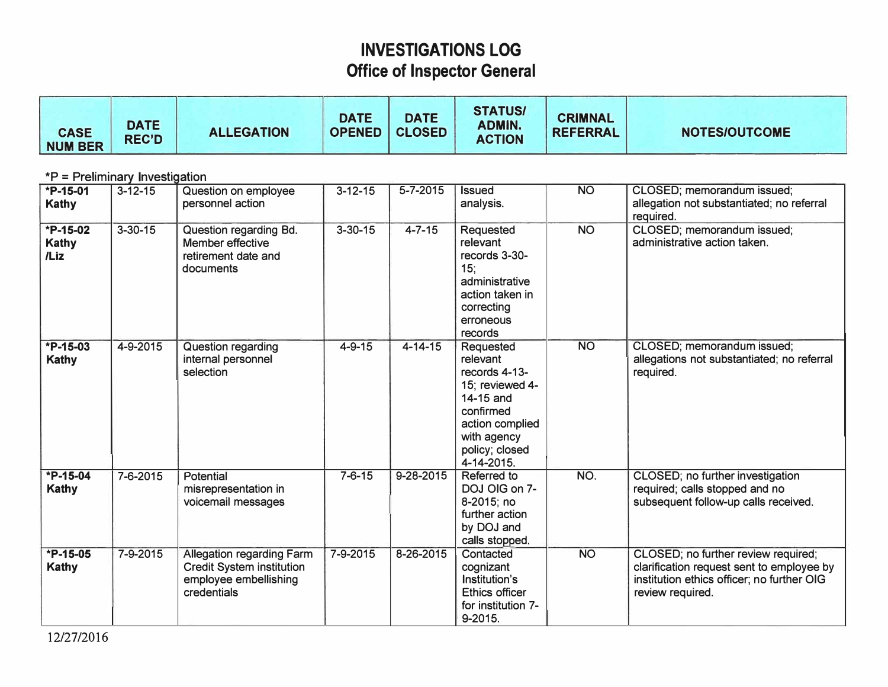## **INVESTIGATIONS LOG Office of Inspector General**

| <b>CASE</b><br><b>NUM BER</b>            | <b>DATE</b><br><b>REC'D</b> | <b>ALLEGATION</b>                                                                                            | <b>DATE</b><br><b>OPENED</b> | <b>DATE</b><br><b>CLOSED</b> | <b>STATUS/</b><br><b>ADMIN.</b><br><b>ACTION</b>                                                                                                      | <b>CRIMNAL</b><br><b>REFERRAL</b> | <b>NOTES/OUTCOME</b>                                                                                                                               |  |
|------------------------------------------|-----------------------------|--------------------------------------------------------------------------------------------------------------|------------------------------|------------------------------|-------------------------------------------------------------------------------------------------------------------------------------------------------|-----------------------------------|----------------------------------------------------------------------------------------------------------------------------------------------------|--|
| *P = Preliminary Investigation           |                             |                                                                                                              |                              |                              |                                                                                                                                                       |                                   |                                                                                                                                                    |  |
| $\overline{P} - 15 - 01$<br><b>Kathy</b> | $3 - 12 - 15$               | Question on employee<br>personnel action                                                                     | $3 - 12 - 15$                | $5 - 7 - 2015$               | <b>Issued</b><br>analysis.                                                                                                                            | $\overline{NO}$                   | CLOSED; memorandum issued;<br>allegation not substantiated; no referral<br>required.                                                               |  |
| $*P-15-02$<br><b>Kathy</b><br>/Liz       | $3 - 30 - 15$               | Question regarding Bd.<br>Member effective<br>retirement date and<br>documents                               | $3 - 30 - 15$                | $4 - 7 - 15$                 | Requested<br>relevant<br>records 3-30-<br>15:<br>administrative<br>action taken in<br>correcting<br>erroneous<br>records                              | <b>NO</b>                         | CLOSED; memorandum issued;<br>administrative action taken.                                                                                         |  |
| $*P-15-03$<br><b>Kathy</b>               | 4-9-2015                    | Question regarding<br>internal personnel<br>selection                                                        | $4 - 9 - 15$                 | $4 - 14 - 15$                | Requested<br>relevant<br>records 4-13-<br>15; reviewed 4-<br>14-15 and<br>confirmed<br>action complied<br>with agency<br>policy; closed<br>4-14-2015. | N <sub>O</sub>                    | CLOSED; memorandum issued;<br>allegations not substantiated; no referral<br>required.                                                              |  |
| $*P-15-04$<br><b>Kathy</b>               | 7-6-2015                    | Potential<br>misrepresentation in<br>voicemail messages                                                      | $7 - 6 - 15$                 | $9 - 28 - 2015$              | Referred to<br>DOJ OIG on 7-<br>8-2015; no<br>further action<br>by DOJ and<br>calls stopped.                                                          | NO.                               | CLOSED; no further investigation<br>required; calls stopped and no<br>subsequent follow-up calls received.                                         |  |
| *P-15-05<br><b>Kathy</b>                 | 7-9-2015                    | <b>Allegation regarding Farm</b><br><b>Credit System institution</b><br>employee embellishing<br>credentials | 7-9-2015                     | 8-26-2015                    | Contacted<br>cognizant<br>Institution's<br><b>Ethics officer</b><br>for institution 7-<br>9-2015.                                                     | $N$ O                             | CLOSED; no further review required;<br>clarification request sent to employee by<br>institution ethics officer; no further OIG<br>review required. |  |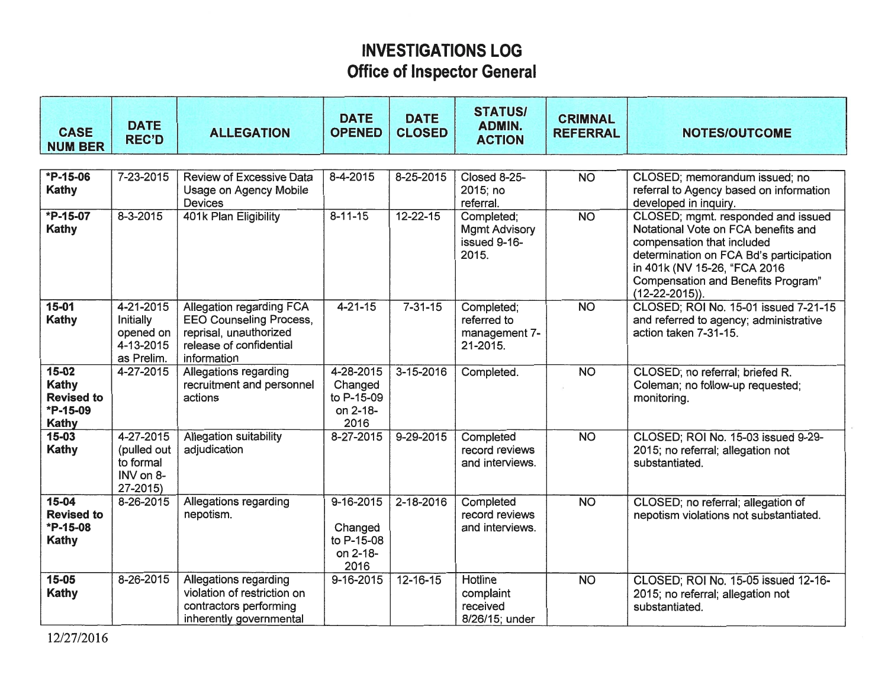## **INVESTIGATIONS LOG Office of Inspector General**

| <b>CASE</b><br><b>NUM BER</b>                                | <b>DATE</b><br><b>REC'D</b>                                    | <b>ALLEGATION</b>                                                                                                              | <b>DATE</b><br><b>OPENED</b>                                 | <b>DATE</b><br><b>CLOSED</b> | <b>STATUS/</b><br><b>ADMIN.</b><br><b>ACTION</b>            | <b>CRIMNAL</b><br><b>REFERRAL</b> | <b>NOTES/OUTCOME</b>                                                                                                                                                                                                                          |  |
|--------------------------------------------------------------|----------------------------------------------------------------|--------------------------------------------------------------------------------------------------------------------------------|--------------------------------------------------------------|------------------------------|-------------------------------------------------------------|-----------------------------------|-----------------------------------------------------------------------------------------------------------------------------------------------------------------------------------------------------------------------------------------------|--|
|                                                              |                                                                |                                                                                                                                |                                                              |                              |                                                             |                                   |                                                                                                                                                                                                                                               |  |
| $*P-15-06$<br>Kathy                                          | 7-23-2015                                                      | <b>Review of Excessive Data</b><br>Usage on Agency Mobile<br><b>Devices</b>                                                    | 8-4-2015                                                     | 8-25-2015                    | Closed 8-25-<br>2015; no<br>referral.                       | <b>NO</b>                         | CLOSED; memorandum issued; no<br>referral to Agency based on information<br>developed in inquiry.                                                                                                                                             |  |
| $*P-15-07$<br>Kathy                                          | $8 - 3 - 2015$                                                 | 401k Plan Eligibility                                                                                                          | $8 - 11 - 15$                                                | $12 - 22 - 15$               | Completed;<br><b>Mgmt Advisory</b><br>issued 9-16-<br>2015. | N <sub>O</sub>                    | CLOSED; mgmt. responded and issued<br>Notational Vote on FCA benefits and<br>compensation that included<br>determination on FCA Bd's participation<br>in 401k (NV 15-26, "FCA 2016<br>Compensation and Benefits Program"<br>$(12-22-2015)$ ). |  |
| $15 - 01$<br><b>Kathy</b>                                    | 4-21-2015<br>Initially<br>opened on<br>4-13-2015<br>as Prelim. | Allegation regarding FCA<br><b>EEO Counseling Process,</b><br>reprisal, unauthorized<br>release of confidential<br>information | $4 - 21 - 15$                                                | $7 - 31 - 15$                | Completed;<br>referred to<br>management 7-<br>21-2015.      | <b>NO</b>                         | CLOSED; ROI No. 15-01 issued 7-21-15<br>and referred to agency; administrative<br>action taken 7-31-15.                                                                                                                                       |  |
| $15 - 02$<br>Kathy<br><b>Revised to</b><br>*P-15-09<br>Kathy | 4-27-2015                                                      | Allegations regarding<br>recruitment and personnel<br>actions                                                                  | 4-28-2015<br>Changed<br>to P-15-09<br>on 2-18-<br>2016       | $3 - 15 - 2016$              | Completed.                                                  | <b>NO</b>                         | CLOSED; no referral; briefed R.<br>Coleman; no follow-up requested;<br>monitoring.                                                                                                                                                            |  |
| $15 - 03$<br>Kathy                                           | 4-27-2015<br>(pulled out<br>to formal<br>INV on 8-<br>27-2015) | Allegation suitability<br>adjudication                                                                                         | 8-27-2015                                                    | $9 - 29 - 2015$              | Completed<br>record reviews<br>and interviews.              | $\overline{NO}$                   | CLOSED; ROI No. 15-03 issued 9-29-<br>2015; no referral; allegation not<br>substantiated.                                                                                                                                                     |  |
| $15 - 04$<br><b>Revised to</b><br>*P-15-08<br><b>Kathy</b>   | 8-26-2015                                                      | Allegations regarding<br>nepotism.                                                                                             | $9 - 16 - 2015$<br>Changed<br>to P-15-08<br>on 2-18-<br>2016 | 2-18-2016                    | Completed<br>record reviews<br>and interviews.              | <b>NO</b>                         | CLOSED; no referral; allegation of<br>nepotism violations not substantiated.                                                                                                                                                                  |  |
| $15 - 05$<br>Kathy                                           | 8-26-2015                                                      | Allegations regarding<br>violation of restriction on<br>contractors performing<br>inherently governmental                      | $9 - 16 - 2015$                                              | $12 - 16 - 15$               | <b>Hotline</b><br>complaint<br>received<br>8/26/15; under   | <b>NO</b>                         | CLOSED; ROI No. 15-05 issued 12-16-<br>2015; no referral; allegation not<br>substantiated.                                                                                                                                                    |  |